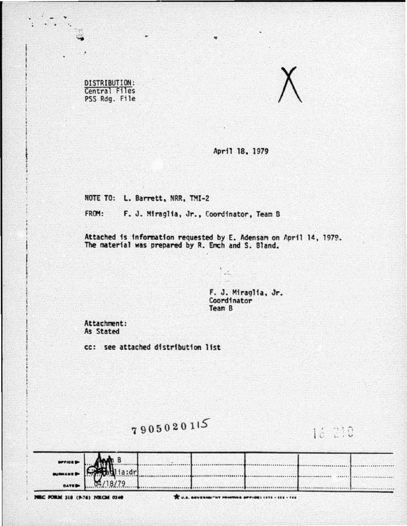DISTRIBUTION: Central Files PSS Rdg. File



April 18, 1979

NOTE TO: L. Barrett, NRR, TMI-2

FROM: F. J. Miraglia, Jr., Coordinator, Team B

Attached is information requested by E. Adensam on April 14, 1979.<br>The material was prepared by R. Emch and S. Bland.

F. J. Miraglia, Jr.<br>Coordinator Team B

Attachment: As Stated

cc: see attached distribution list

7905020115

16 210

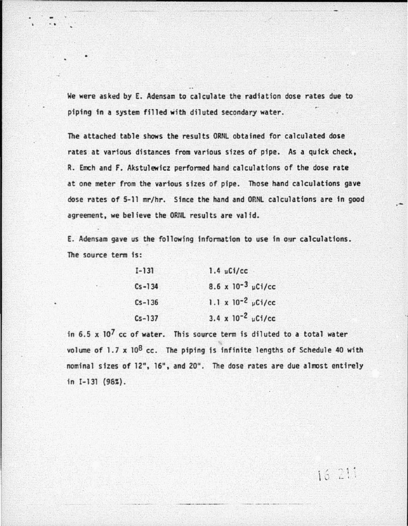We were asked by E. Adensam to calculate the radiation dose rates due to piping in a system filled with diluted secondary water.

The attached table shows the results ORNL obtained for calculated dose rates at various distances from various sizes of pipe. As a quick check, R. Emch and F. Akstulewicz performed hand calculations of the dose rate at one meter from the various sizes of pipe. Those hand calculations gave dose rates of 5-11 mr/hr. Since the hand and OP.NL calculations are in good agreement, we believe the ORNL results are valid.

E. Adensam gave us the following information to use in our calculations. The source term fs:

| $I-131$    | $1.4 \mu$ Ci/cc             |
|------------|-----------------------------|
| $Cs - 134$ | 8.6 x $10^{-3}$ $\mu$ Ci/cc |
| $Cs - 136$ | 1.1 x $10^{-2}$ $\mu$ Ci/cc |
| $Cs - 137$ | 3.4 x $10^{-2}$ µCi/cc      |

in  $6.5 \times 10^7$  cc of water. This source term is diluted to a total water volume of  $1.7 \times 10^8$  cc. The piping is infinite lengths of Schedule 40 with nominal sizes of 12", 16", and 20". The dose rates are due almost entirely in  $I-131$  (98%).

 $16211$ 

.-